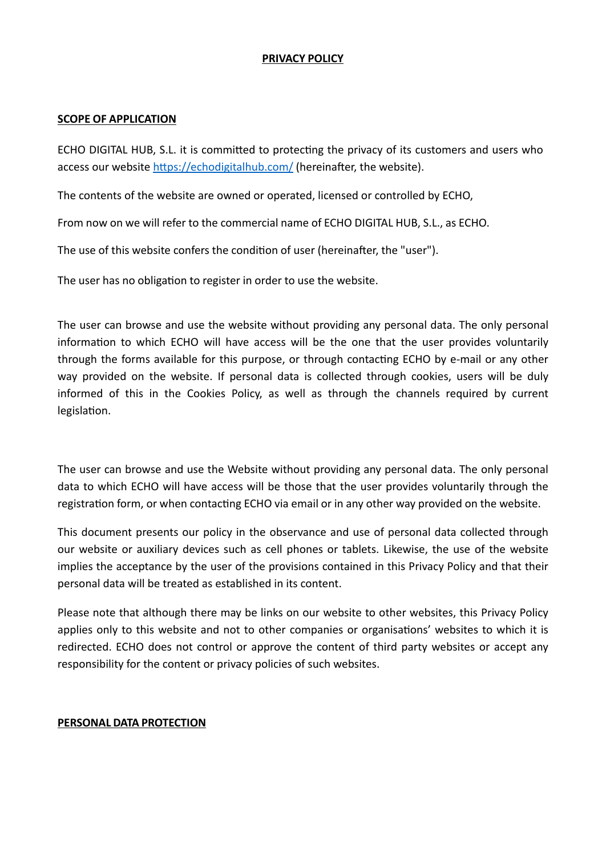### **PRIVACY POLICY**

#### **SCOPE OF APPLICATION**

ECHO DIGITAL HUB, S.L. it is committed to protecting the privacy of its customers and users who access our website https://echodigitalhub.com/ (hereinafter, the website).

The contents of the website are owned or operated, licensed or controlled by ECHO,

From now on we will refer to the commercial name of ECHO DIGITAL HUB, S.L., as ECHO.

The use of this website confers the condition of user (hereinafter, the "user").

The user has no obligation to register in order to use the website.

The user can browse and use the website without providing any personal data. The only personal information to which ECHO will have access will be the one that the user provides voluntarily through the forms available for this purpose, or through contacting ECHO by e-mail or any other way provided on the website. If personal data is collected through cookies, users will be duly informed of this in the Cookies Policy, as well as through the channels required by current legislation.

The user can browse and use the Website without providing any personal data. The only personal data to which ECHO will have access will be those that the user provides voluntarily through the registration form, or when contacting ECHO via email or in any other way provided on the website.

This document presents our policy in the observance and use of personal data collected through our website or auxiliary devices such as cell phones or tablets. Likewise, the use of the website implies the acceptance by the user of the provisions contained in this Privacy Policy and that their personal data will be treated as established in its content.

Please note that although there may be links on our website to other websites, this Privacy Policy applies only to this website and not to other companies or organisations' websites to which it is redirected. ECHO does not control or approve the content of third party websites or accept any responsibility for the content or privacy policies of such websites.

#### **PERSONAL DATA PROTECTION**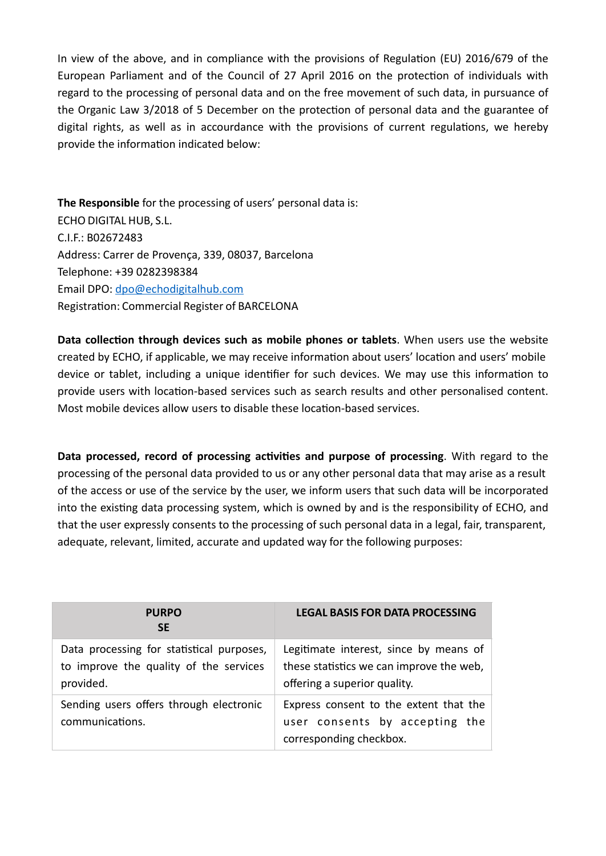In view of the above, and in compliance with the provisions of Regulation (EU) 2016/679 of the European Parliament and of the Council of 27 April 2016 on the protection of individuals with regard to the processing of personal data and on the free movement of such data, in pursuance of the Organic Law 3/2018 of 5 December on the protection of personal data and the guarantee of digital rights, as well as in accourdance with the provisions of current regulations, we hereby provide the information indicated below:

**The Responsible** for the processing of users' personal data is: ECHO DIGITAL HUB, S.L. C.I.F.: B02672483 Address: Carrer de Provença, 339, 08037, Barcelona Telephone: +39 0282398384 Email DPO: [dpo@echodigitalhub.com](mailto:dpo@echodigitalhub.com) Registration: Commercial Register of BARCELONA

Data collection through devices such as mobile phones or tablets. When users use the website created by ECHO, if applicable, we may receive information about users' location and users' mobile device or tablet, including a unique identifier for such devices. We may use this information to provide users with location-based services such as search results and other personalised content. Most mobile devices allow users to disable these location-based services.

Data processed, record of processing activities and purpose of processing. With regard to the processing of the personal data provided to us or any other personal data that may arise as a result of the access or use of the service by the user, we inform users that such data will be incorporated into the existing data processing system, which is owned by and is the responsibility of ECHO, and that the user expressly consents to the processing of such personal data in a legal, fair, transparent, adequate, relevant, limited, accurate and updated way for the following purposes:

| <b>PURPO</b><br><b>SE</b>                                                                        | <b>LEGAL BASIS FOR DATA PROCESSING</b>                                                                             |
|--------------------------------------------------------------------------------------------------|--------------------------------------------------------------------------------------------------------------------|
| Data processing for statistical purposes,<br>to improve the quality of the services<br>provided. | Legitimate interest, since by means of<br>these statistics we can improve the web,<br>offering a superior quality. |
| Sending users offers through electronic<br>communications.                                       | Express consent to the extent that the<br>user consents by accepting the<br>corresponding checkbox.                |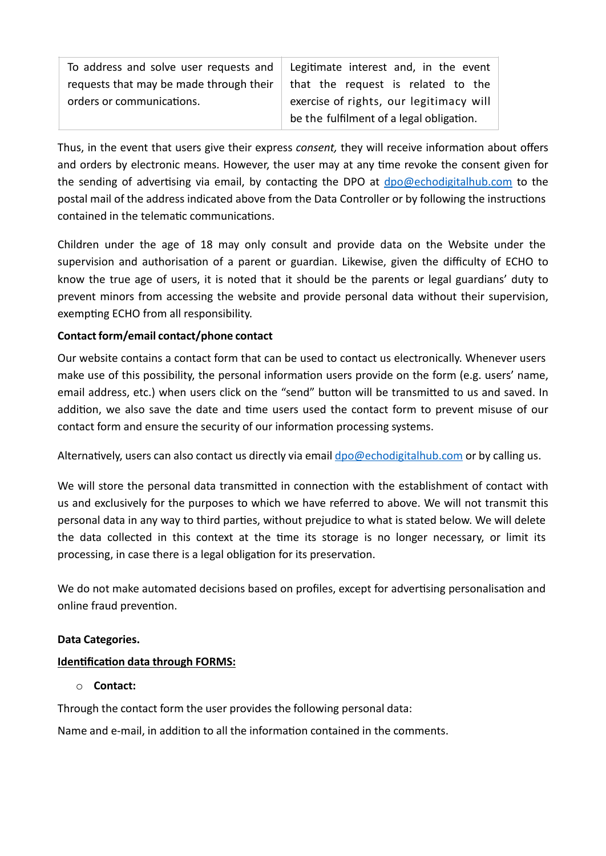| To address and solve user requests and  | Legitimate interest and, in the event    |
|-----------------------------------------|------------------------------------------|
| requests that may be made through their | that the request is related to the       |
| orders or communications.               | exercise of rights, our legitimacy will  |
|                                         | be the fulfilment of a legal obligation. |

Thus, in the event that users give their express *consent*, they will receive information about offers and orders by electronic means. However, the user may at any time revoke the consent given for the sending of advertising via email, by contacting the DPO at  $dpo@echodigitalhub.com$  to the postal mail of the address indicated above from the Data Controller or by following the instructions contained in the telematic communications.

Children under the age of 18 may only consult and provide data on the Website under the supervision and authorisation of a parent or guardian. Likewise, given the difficulty of ECHO to know the true age of users, it is noted that it should be the parents or legal guardians' duty to prevent minors from accessing the website and provide personal data without their supervision, exempting ECHO from all responsibility.

# **Contact form/email contact/phone contact**

Our website contains a contact form that can be used to contact us electronically. Whenever users make use of this possibility, the personal information users provide on the form (e.g. users' name, email address, etc.) when users click on the "send" button will be transmitted to us and saved. In addition, we also save the date and time users used the contact form to prevent misuse of our contact form and ensure the security of our information processing systems.

Alternatively, users can also contact us directly via email [dpo@echodigitalhub.com](mailto:dpo@echodigitalhub.com) or by calling us.

We will store the personal data transmitted in connection with the establishment of contact with us and exclusively for the purposes to which we have referred to above. We will not transmit this personal data in any way to third parties, without prejudice to what is stated below. We will delete the data collected in this context at the time its storage is no longer necessary, or limit its processing, in case there is a legal obligation for its preservation.

We do not make automated decisions based on profiles, except for advertising personalisation and online fraud prevention.

# **Data Categories.**

# **Identification data through FORMS:**

# o **Contact:**

Through the contact form the user provides the following personal data:

Name and e-mail, in addition to all the information contained in the comments.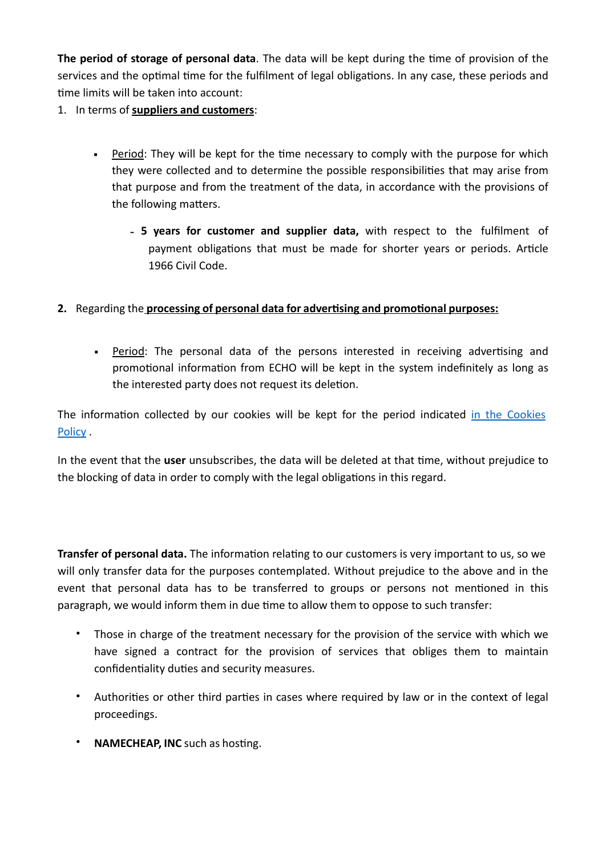The period of storage of personal data. The data will be kept during the time of provision of the services and the optimal time for the fulfilment of legal obligations. In any case, these periods and time limits will be taken into account:

1. In terms of **suppliers and customers**:

- $\blacksquare$  Period: They will be kept for the time necessary to comply with the purpose for which they were collected and to determine the possible responsibilities that may arise from that purpose and from the treatment of the data, in accordance with the provisions of the following matters.
	- **5 years for customer and supplier data,** with respect to the fulfilment of payment obligations that must be made for shorter years or periods. Article 1966 Civil Code.

# **2.** Regarding the **processing of personal data for advertising and promotional purposes:**

• Period: The personal data of the persons interested in receiving advertising and promotional information from ECHO will be kept in the system indefinitely as long as the interested party does not request its deletion.

The information collected by our cookies will be kept for the period indicated in the Cookies Policy .

In the event that the user unsubscribes, the data will be deleted at that time, without prejudice to the blocking of data in order to comply with the legal obligations in this regard.

**Transfer of personal data.** The information relating to our customers is very important to us, so we will only transfer data for the purposes contemplated. Without prejudice to the above and in the event that personal data has to be transferred to groups or persons not mentioned in this paragraph, we would inform them in due time to allow them to oppose to such transfer:

- Those in charge of the treatment necessary for the provision of the service with which we have signed a contract for the provision of services that obliges them to maintain confidentiality duties and security measures.
- Authorities or other third parties in cases where required by law or in the context of legal proceedings.
- **NAMECHEAP, INC** such as hosting.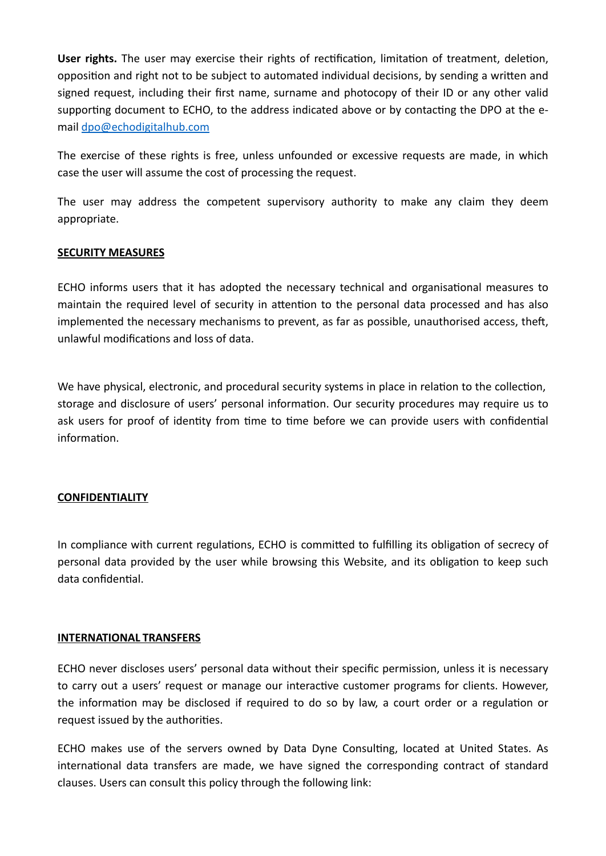User rights. The user may exercise their rights of rectification, limitation of treatment, deletion, opposition and right not to be subject to automated individual decisions, by sending a written and signed request, including their first name, surname and photocopy of their ID or any other valid supporting document to ECHO, to the address indicated above or by contacting the DPO at the email [dpo@echodigitalhub.com](mailto:dpo@echodigitalhub.com)

The exercise of these rights is free, unless unfounded or excessive requests are made, in which case the user will assume the cost of processing the request.

The user may address the competent supervisory authority to make any claim they deem appropriate.

# **SECURITY MEASURES**

ECHO informs users that it has adopted the necessary technical and organisational measures to maintain the required level of security in attention to the personal data processed and has also implemented the necessary mechanisms to prevent, as far as possible, unauthorised access, theft, unlawful modifications and loss of data.

We have physical, electronic, and procedural security systems in place in relation to the collection, storage and disclosure of users' personal information. Our security procedures may require us to ask users for proof of identity from time to time before we can provide users with confidential information.

#### **CONFIDENTIALITY**

In compliance with current regulations, ECHO is committed to fulfilling its obligation of secrecy of personal data provided by the user while browsing this Website, and its obligation to keep such data confidential.

#### **INTERNATIONAL TRANSFERS**

ECHO never discloses users' personal data without their specific permission, unless it is necessary to carry out a users' request or manage our interactive customer programs for clients. However, the information may be disclosed if required to do so by law, a court order or a regulation or request issued by the authorities.

ECHO makes use of the servers owned by Data Dyne Consulting, located at United States. As international data transfers are made, we have signed the corresponding contract of standard clauses. Users can consult this policy through the following link: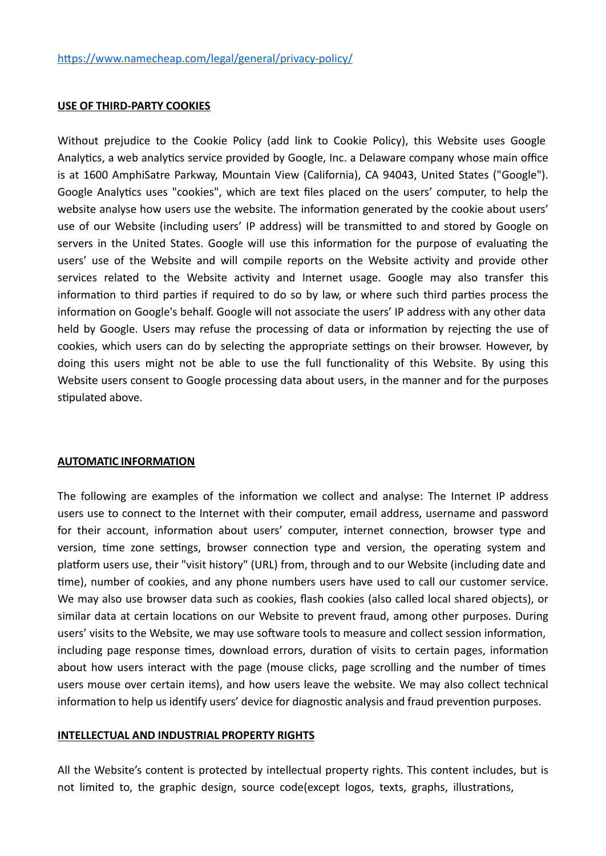#### **USE OF THIRD-PARTY COOKIES**

Without prejudice to the Cookie Policy (add link to Cookie Policy), this Website uses Google Analytics, a web analytics service provided by Google, Inc. a Delaware company whose main office is at 1600 AmphiSatre Parkway, Mountain View (California), CA 94043, United States ("Google"). Google Analytics uses "cookies", which are text files placed on the users' computer, to help the website analyse how users use the website. The information generated by the cookie about users' use of our Website (including users' IP address) will be transmitted to and stored by Google on servers in the United States. Google will use this information for the purpose of evaluating the users' use of the Website and will compile reports on the Website activity and provide other services related to the Website activity and Internet usage. Google may also transfer this information to third parties if required to do so by law, or where such third parties process the information on Google's behalf. Google will not associate the users' IP address with any other data held by Google. Users may refuse the processing of data or information by rejecting the use of cookies, which users can do by selecting the appropriate settings on their browser. However, by doing this users might not be able to use the full functionality of this Website. By using this Website users consent to Google processing data about users, in the manner and for the purposes stipulated above.

#### **AUTOMATIC INFORMATION**

The following are examples of the information we collect and analyse: The Internet IP address users use to connect to the Internet with their computer, email address, username and password for their account, information about users' computer, internet connection, browser type and version, time zone settings, browser connection type and version, the operating system and platform users use, their "visit history" (URL) from, through and to our Website (including date and time), number of cookies, and any phone numbers users have used to call our customer service. We may also use browser data such as cookies, flash cookies (also called local shared objects), or similar data at certain locations on our Website to prevent fraud, among other purposes. During users' visits to the Website, we may use software tools to measure and collect session information, including page response times, download errors, duration of visits to certain pages, information about how users interact with the page (mouse clicks, page scrolling and the number of times users mouse over certain items), and how users leave the website. We may also collect technical information to help us identify users' device for diagnostic analysis and fraud prevention purposes.

#### **INTELLECTUAL AND INDUSTRIAL PROPERTY RIGHTS**

All the Website's content is protected by intellectual property rights. This content includes, but is not limited to, the graphic design, source code(except logos, texts, graphs, illustrations,